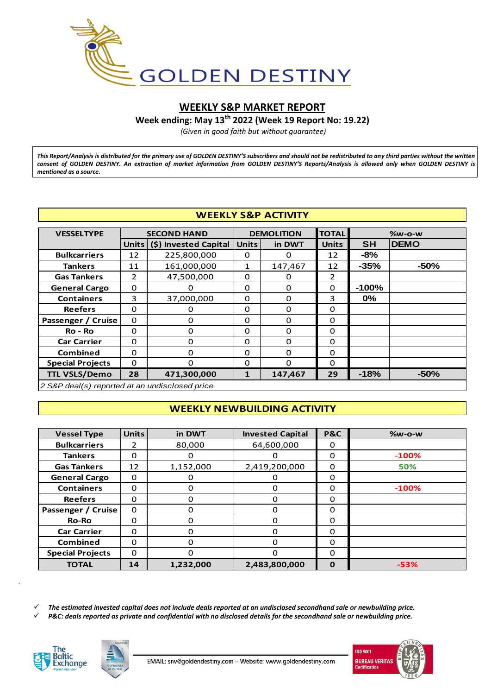

# **WEEKLY S&P MARKET REPORT**

**Week ending: May 13th 2022 (Week 19 Report No: 19.22)**

*(Given in good faith but without guarantee)*

*This Report/Analysis is distributed for the primary use of GOLDEN DESTINY'S subscribers and should not be redistributed to any third parties without the written consent of GOLDEN DESTINY. An extraction of market information from GOLDEN DESTINY'S Reports/Analysis is allowed only when GOLDEN DESTINY is mentioned as a source.*

## **WEEKLY S&P ACTIVITY**

|                                                | <b>WEEKLY S&amp;P ACTIVITY</b> |                       |                        |                   |                |           |             |  |  |  |  |  |
|------------------------------------------------|--------------------------------|-----------------------|------------------------|-------------------|----------------|-----------|-------------|--|--|--|--|--|
| <b>VESSELTYPE</b>                              |                                | <b>SECOND HAND</b>    |                        | <b>DEMOLITION</b> | <b>TOTAL</b>   | $%w-O-W$  |             |  |  |  |  |  |
|                                                | Units                          | (\$) Invested Capital | <b>Units</b><br>in DWT |                   | <b>Units</b>   | <b>SH</b> | <b>DEMO</b> |  |  |  |  |  |
| <b>Bulkcarriers</b>                            | 12                             | 225,800,000           | 0                      | 0                 | 12             | -8%       |             |  |  |  |  |  |
| <b>Tankers</b>                                 | 11                             | 161,000,000           | 1                      | 147,467           | 12             | $-35%$    | $-50%$      |  |  |  |  |  |
| <b>Gas Tankers</b>                             | $\overline{2}$                 | 47,500,000            | $\Omega$               | $\Omega$          | $\overline{2}$ |           |             |  |  |  |  |  |
| <b>General Cargo</b>                           | $\Omega$                       | $\Omega$              | $\Omega$               | $\Omega$          | $\Omega$       | $-100%$   |             |  |  |  |  |  |
| <b>Containers</b>                              | 3                              | 37,000,000            | 0                      | 0                 | 3              | $0\%$     |             |  |  |  |  |  |
| <b>Reefers</b>                                 | $\Omega$                       | 0                     | $\Omega$               | $\Omega$          | $\Omega$       |           |             |  |  |  |  |  |
| Passenger / Cruise                             | 0                              | $\Omega$              | $\Omega$               | 0                 | $\Omega$       |           |             |  |  |  |  |  |
| Ro - Ro                                        | $\Omega$                       | 0                     | $\Omega$               | 0                 | $\Omega$       |           |             |  |  |  |  |  |
| <b>Car Carrier</b>                             | 0                              | 0                     | 0                      | 0                 | 0              |           |             |  |  |  |  |  |
| <b>Combined</b>                                | $\Omega$                       | 0                     | $\Omega$               | 0                 | 0              |           |             |  |  |  |  |  |
| <b>Special Projects</b>                        | 0                              | 0                     | 0                      | 0                 | $\Omega$       |           |             |  |  |  |  |  |
| <b>TTL VSLS/Demo</b>                           | 28                             | 471,300,000           | $\mathbf{1}$           | 147,467           | 29             | $-18%$    | $-50%$      |  |  |  |  |  |
| 2 S&P deal(s) reported at an undisclosed price |                                |                       |                        |                   |                |           |             |  |  |  |  |  |

## **WEEKLY NEWBUILDING ACTIVITY**

| <b>Vessel Type</b>      | <b>Units</b> | in DWT    | <b>Invested Capital</b> | P&C         | $%w-o-w$ |
|-------------------------|--------------|-----------|-------------------------|-------------|----------|
| <b>Bulkcarriers</b>     | 2            | 80,000    | 64,600,000              | 0           |          |
| <b>Tankers</b>          | $\Omega$     | 0         | 0                       | $\Omega$    | $-100%$  |
| <b>Gas Tankers</b>      | 12           | 1,152,000 | 2,419,200,000           | 0           | 50%      |
| <b>General Cargo</b>    | $\Omega$     | 0         | 0                       | $\Omega$    |          |
| <b>Containers</b>       | $\Omega$     | 0         | $\Omega$                | $\Omega$    | $-100%$  |
| <b>Reefers</b>          | $\Omega$     | 0         | $\Omega$                | 0           |          |
| Passenger / Cruise      | $\Omega$     | 0         | 0                       | $\Omega$    |          |
| <b>Ro-Ro</b>            | $\Omega$     | 0         | $\Omega$                | 0           |          |
| <b>Car Carrier</b>      | $\Omega$     | 0         | $\Omega$                | $\Omega$    |          |
| <b>Combined</b>         | $\Omega$     | O         | $\Omega$                | $\Omega$    |          |
| <b>Special Projects</b> | 0            | 0         | $\Omega$                | 0           |          |
| <b>TOTAL</b>            | 14           | 1,232,000 | 2,483,800,000           | $\mathbf 0$ | $-53%$   |
|                         |              |           |                         |             |          |

*The estimated invested capital does not include deals reported at an undisclosed secondhand sale or newbuilding price.*

*P&C: deals reported as private and confidential with no disclosed details for the secondhand sale or newbuilding price.*



*.*



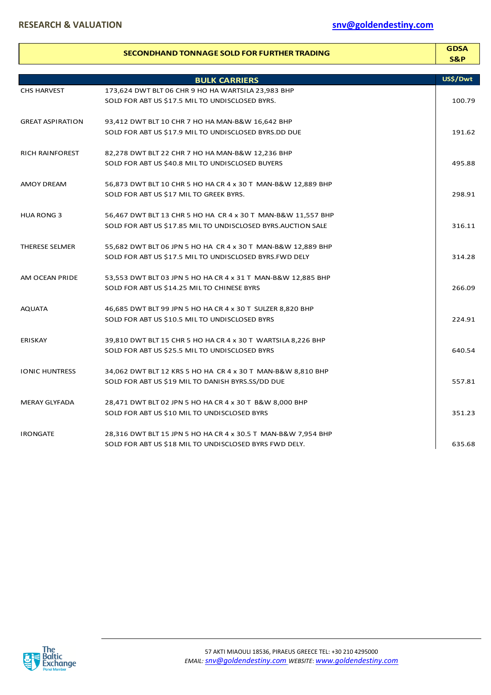|                         | SECONDHAND TONNAGE SOLD FOR FURTHER TRADING                   | <b>GDSA</b><br>S&P |
|-------------------------|---------------------------------------------------------------|--------------------|
|                         | <b>BULK CARRIERS</b>                                          | US\$/Dwt           |
| <b>CHS HARVEST</b>      | 173,624 DWT BLT 06 CHR 9 HO HA WARTSILA 23,983 BHP            |                    |
|                         | SOLD FOR ABT US \$17.5 MIL TO UNDISCLOSED BYRS.               | 100.79             |
| <b>GREAT ASPIRATION</b> | 93,412 DWT BLT 10 CHR 7 HO HA MAN-B&W 16,642 BHP              |                    |
|                         | SOLD FOR ABT US \$17.9 MIL TO UNDISCLOSED BYRS.DD DUE         | 191.62             |
| <b>RICH RAINFOREST</b>  | 82,278 DWT BLT 22 CHR 7 HO HA MAN-B&W 12,236 BHP              |                    |
|                         | SOLD FOR ABT US \$40.8 MIL TO UNDISCLOSED BUYERS              | 495.88             |
| <b>AMOY DREAM</b>       | 56,873 DWT BLT 10 CHR 5 HO HA CR 4 x 30 T MAN-B&W 12,889 BHP  |                    |
|                         | SOLD FOR ABT US \$17 MIL TO GREEK BYRS.                       | 298.91             |
| <b>HUA RONG 3</b>       | 56,467 DWT BLT 13 CHR 5 HO HA CR 4 x 30 T MAN-B&W 11,557 BHP  |                    |
|                         | SOLD FOR ABT US \$17.85 MIL TO UNDISCLOSED BYRS.AUCTION SALE  | 316.11             |
| <b>THERESE SELMER</b>   | 55,682 DWT BLT 06 JPN 5 HO HA CR 4 x 30 T MAN-B&W 12,889 BHP  |                    |
|                         | SOLD FOR ABT US \$17.5 MIL TO UNDISCLOSED BYRS. FWD DELY      | 314.28             |
| AM OCEAN PRIDE          | 53,553 DWT BLT 03 JPN 5 HO HA CR 4 x 31 T MAN-B&W 12,885 BHP  |                    |
|                         | SOLD FOR ABT US \$14.25 MIL TO CHINESE BYRS                   | 266.09             |
| <b>AQUATA</b>           | 46,685 DWT BLT 99 JPN 5 HO HA CR 4 x 30 T SULZER 8,820 BHP    |                    |
|                         | SOLD FOR ABT US \$10.5 MIL TO UNDISCLOSED BYRS                | 224.91             |
| <b>ERISKAY</b>          | 39,810 DWT BLT 15 CHR 5 HO HA CR 4 x 30 T WARTSILA 8,226 BHP  |                    |
|                         | SOLD FOR ABT US \$25.5 MIL TO UNDISCLOSED BYRS                | 640.54             |
| <b>IONIC HUNTRESS</b>   | 34,062 DWT BLT 12 KRS 5 HO HA CR 4 x 30 T MAN-B&W 8,810 BHP   |                    |
|                         | SOLD FOR ABT US \$19 MIL TO DANISH BYRS.SS/DD DUE             | 557.81             |
| <b>MERAY GLYFADA</b>    | 28,471 DWT BLT 02 JPN 5 HO HA CR 4 x 30 T B&W 8,000 BHP       |                    |
|                         | SOLD FOR ABT US \$10 MIL TO UNDISCLOSED BYRS                  | 351.23             |
| <b>IRONGATE</b>         | 28,316 DWT BLT 15 JPN 5 HO HA CR 4 x 30.5 T MAN-B&W 7,954 BHP |                    |
|                         | SOLD FOR ABT US \$18 MIL TO UNDISCLOSED BYRS FWD DELY.        | 635.68             |

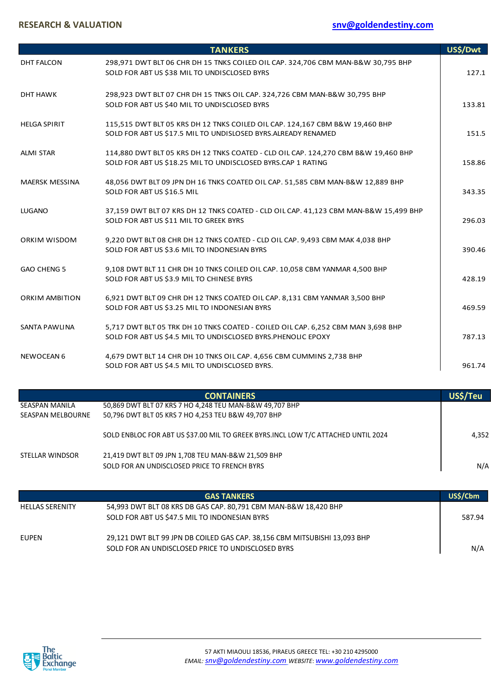# **RESEARCH & VALUATION [snv@goldendestiny.com](mailto:snv@goldendestiny.com)**

|                       | <b>TANKERS</b>                                                                                                                                     | US\$/Dwt         |
|-----------------------|----------------------------------------------------------------------------------------------------------------------------------------------------|------------------|
| <b>DHT FALCON</b>     | 298,971 DWT BLT 06 CHR DH 15 TNKS COILED OIL CAP. 324,706 CBM MAN-B&W 30,795 BHP<br>SOLD FOR ABT US \$38 MIL TO UNDISCLOSED BYRS                   | 127.1            |
| <b>DHT HAWK</b>       | 298,923 DWT BLT 07 CHR DH 15 TNKS OIL CAP. 324,726 CBM MAN-B&W 30,795 BHP<br>SOLD FOR ABT US \$40 MIL TO UNDISCLOSED BYRS                          | 133.81           |
| <b>HELGA SPIRIT</b>   | 115,515 DWT BLT 05 KRS DH 12 TNKS COILED OIL CAP. 124,167 CBM B&W 19,460 BHP<br>SOLD FOR ABT US \$17.5 MIL TO UNDISLOSED BYRS.ALREADY RENAMED      | 151.5            |
| <b>ALMI STAR</b>      | 114,880 DWT BLT 05 KRS DH 12 TNKS COATED - CLD OIL CAP. 124,270 CBM B&W 19,460 BHP<br>SOLD FOR ABT US \$18.25 MIL TO UNDISCLOSED BYRS.CAP 1 RATING | 158.86           |
| <b>MAERSK MESSINA</b> | 48,056 DWT BLT 09 JPN DH 16 TNKS COATED OIL CAP. 51,585 CBM MAN-B&W 12,889 BHP<br>SOLD FOR ABT US \$16.5 MIL                                       | 343.35           |
| <b>LUGANO</b>         | 37,159 DWT BLT 07 KRS DH 12 TNKS COATED - CLD OIL CAP. 41,123 CBM MAN-B&W 15,499 BHP<br>SOLD FOR ABT US \$11 MIL TO GREEK BYRS                     | 296.03           |
| ORKIM WISDOM          | 9,220 DWT BLT 08 CHR DH 12 TNKS COATED - CLD OIL CAP. 9,493 CBM MAK 4,038 BHP<br>SOLD FOR ABT US \$3.6 MIL TO INDONESIAN BYRS                      | 390.46           |
| <b>GAO CHENG 5</b>    | 9,108 DWT BLT 11 CHR DH 10 TNKS COILED OIL CAP. 10,058 CBM YANMAR 4,500 BHP<br>SOLD FOR ABT US \$3.9 MIL TO CHINESE BYRS                           | 428.19           |
| <b>ORKIM AMBITION</b> | 6,921 DWT BLT 09 CHR DH 12 TNKS COATED OIL CAP. 8,131 CBM YANMAR 3,500 BHP<br>SOLD FOR ABT US \$3.25 MIL TO INDONESIAN BYRS                        | 469.59           |
| SANTA PAWLINA         | 5,717 DWT BLT 05 TRK DH 10 TNKS COATED - COILED OIL CAP. 6,252 CBM MAN 3,698 BHP<br>SOLD FOR ABT US \$4.5 MIL TO UNDISCLOSED BYRS.PHENOLIC EPOXY   | 787.13           |
| <b>NEWOCEAN 6</b>     | 4,679 DWT BLT 14 CHR DH 10 TNKS OIL CAP. 4,656 CBM CUMMINS 2,738 BHP<br>SOLD FOR ABT US \$4.5 MIL TO UNDISCLOSED BYRS.                             | 961.74           |
|                       | $\overline{O}$                                                                                                                                     | 110 <sup>4</sup> |

|                          | <b>CONTAINERS</b>                                                                 | US\$/Teu |
|--------------------------|-----------------------------------------------------------------------------------|----------|
| SEASPAN MANILA           | 50,869 DWT BLT 07 KRS 7 HO 4,248 TEU MAN-B&W 49,707 BHP                           |          |
| <b>SEASPAN MELBOURNE</b> | 50,796 DWT BLT 05 KRS 7 HO 4,253 TEU B&W 49,707 BHP                               |          |
|                          | SOLD ENBLOC FOR ABT US \$37.00 MIL TO GREEK BYRS.INCL LOW T/C ATTACHED UNTIL 2024 | 4.352    |
| STELLAR WINDSOR          | 21,419 DWT BLT 09 JPN 1,708 TEU MAN-B&W 21,509 BHP                                |          |
|                          | SOLD FOR AN UNDISCLOSED PRICE TO FRENCH BYRS                                      | N/A      |
|                          |                                                                                   |          |

|                        | <b>GAS TANKERS</b>                                                                                                             | US\$/Cbm |
|------------------------|--------------------------------------------------------------------------------------------------------------------------------|----------|
| <b>HELLAS SERENITY</b> | 54,993 DWT BLT 08 KRS DB GAS CAP. 80,791 CBM MAN-B&W 18,420 BHP<br>SOLD FOR ABT US \$47.5 MIL TO INDONESIAN BYRS               | 587.94   |
| <b>EUPEN</b>           | 29,121 DWT BLT 99 JPN DB COILED GAS CAP. 38,156 CBM MITSUBISHI 13,093 BHP<br>SOLD FOR AN UNDISCLOSED PRICE TO UNDISCLOSED BYRS | N/A      |

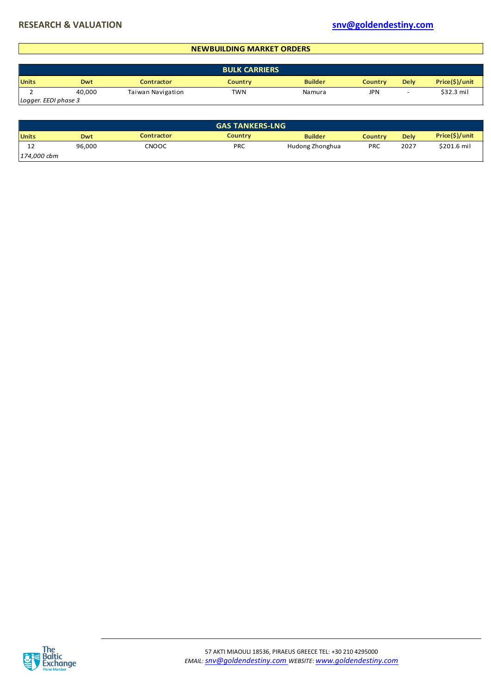#### **NEWBUILDING MARKET ORDERS**

|                      |        |                   | <b>BULK CARRIERS</b> |                |         |                          |                |
|----------------------|--------|-------------------|----------------------|----------------|---------|--------------------------|----------------|
| <b>Units</b>         | Dwt    | Contractor        | <b>Country</b>       | <b>Builder</b> | Countrv | <b>Dely</b>              | Price(\$)/unit |
|                      | 40.000 | Taiwan Navigation | TWN                  | Namura         | JPN     | $\overline{\phantom{a}}$ | \$32.3 mil     |
| Logger. EEDI phase 3 |        |                   |                      |                |         |                          |                |

| Loggen. LLDI pinase s |            |                   |                        |                 |                |             |                |
|-----------------------|------------|-------------------|------------------------|-----------------|----------------|-------------|----------------|
|                       |            |                   |                        |                 |                |             |                |
|                       |            |                   | <b>GAS TANKERS-LNG</b> |                 |                |             |                |
| <b>Units</b>          | <b>Dwt</b> | <b>Contractor</b> | <b>Country</b>         | <b>Builder</b>  | <b>Country</b> | <b>Dely</b> | Price(\$)/unit |
| 12                    | 96,000     | <b>CNOOC</b>      | <b>PRC</b>             | Hudong Zhonghua | <b>PRC</b>     | 2027        | \$201.6 mil    |
| 174,000 cbm           |            |                   |                        |                 |                |             |                |

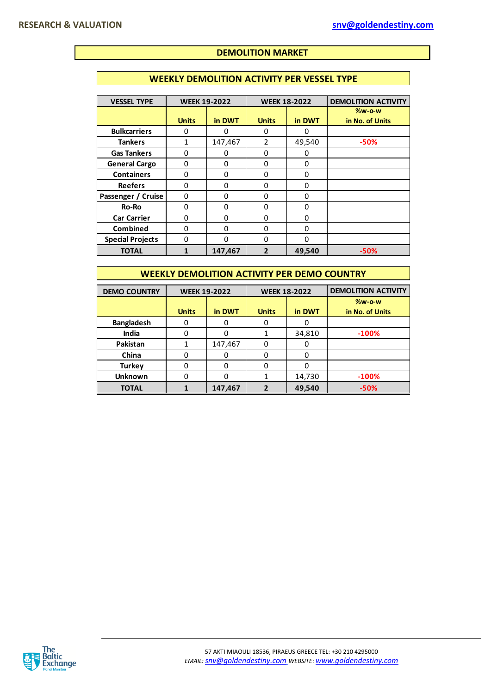## **DEMOLITION MARKET**

### **WEEKLY DEMOLITION ACTIVITY PER VESSEL TYPE**

| <b>VESSEL TYPE</b>      | <b>WEEK 19-2022</b> |          | <b>WEEK 18-2022</b> |          | <b>DEMOLITION ACTIVITY</b>  |
|-------------------------|---------------------|----------|---------------------|----------|-----------------------------|
|                         | <b>Units</b>        | in DWT   | <b>Units</b>        | in DWT   | $%w-o-w$<br>in No. of Units |
| <b>Bulkcarriers</b>     | O                   | O        | 0                   | 0        |                             |
| <b>Tankers</b>          | 1                   | 147,467  | 2                   | 49,540   | $-50%$                      |
| <b>Gas Tankers</b>      | 0                   | 0        | ი                   | 0        |                             |
| <b>General Cargo</b>    | 0                   | 0        | 0                   | 0        |                             |
| <b>Containers</b>       | 0                   | 0        | 0                   | $\Omega$ |                             |
| <b>Reefers</b>          | 0                   | 0        | 0                   | $\Omega$ |                             |
| Passenger / Cruise      | 0                   | $\Omega$ | 0                   | $\Omega$ |                             |
| <b>Ro-Ro</b>            | 0                   | $\Omega$ | 0                   | $\Omega$ |                             |
| <b>Car Carrier</b>      | O                   | $\Omega$ | $\Omega$            | $\Omega$ |                             |
| <b>Combined</b>         | 0                   | $\Omega$ | 0                   | 0        |                             |
| <b>Special Projects</b> | 0                   | $\Omega$ | 0                   | $\Omega$ |                             |
| <b>TOTAL</b>            |                     | 147,467  | 2                   | 49,540   | $-50%$                      |

### **WEEKLY DEMOLITION ACTIVITY PER DEMO COUNTRY**

| <b>DEMO COUNTRY</b> | <b>WEEK 19-2022</b> |         | <b>WEEK 18-2022</b> |        | <b>DEMOLITION ACTIVITY</b> |
|---------------------|---------------------|---------|---------------------|--------|----------------------------|
|                     |                     |         |                     |        | $%w-o-w$                   |
|                     | <b>Units</b>        | in DWT  | <b>Units</b>        | in DWT | in No. of Units            |
| <b>Bangladesh</b>   |                     |         |                     |        |                            |
| <b>India</b>        |                     |         |                     | 34,810 | $-100%$                    |
| Pakistan            |                     | 147,467 | 0                   | 0      |                            |
| China               |                     |         |                     | O      |                            |
| <b>Turkey</b>       |                     | O       |                     | ი      |                            |
| <b>Unknown</b>      |                     |         |                     | 14,730 | $-100%$                    |
| <b>TOTAL</b>        |                     | 147,467 | 2                   | 49,540 | $-50%$                     |

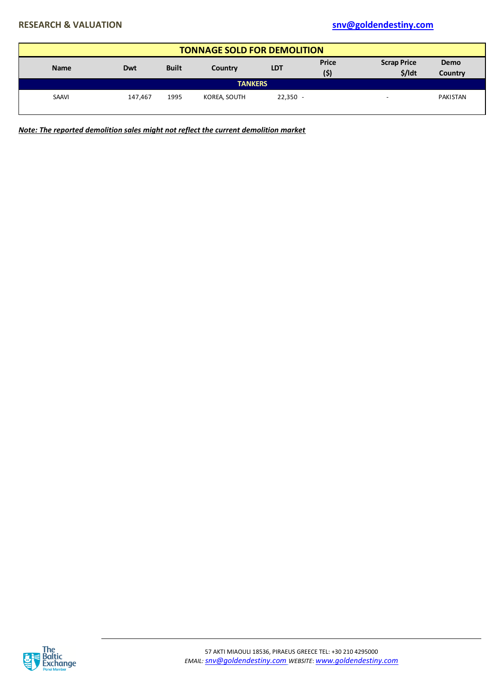|                                                                                                                                                        | <b>TONNAGE SOLD FOR DEMOLITION</b> |      |                |            |  |  |          |  |  |  |  |  |
|--------------------------------------------------------------------------------------------------------------------------------------------------------|------------------------------------|------|----------------|------------|--|--|----------|--|--|--|--|--|
| <b>Price</b><br><b>Scrap Price</b><br><b>Demo</b><br><b>Built</b><br><b>LDT</b><br><b>Name</b><br><b>Dwt</b><br>Country<br>$$/$ Idt<br>(\$)<br>Country |                                    |      |                |            |  |  |          |  |  |  |  |  |
|                                                                                                                                                        |                                    |      | <b>TANKERS</b> |            |  |  |          |  |  |  |  |  |
| <b>SAAVI</b>                                                                                                                                           | 147.467                            | 1995 | KOREA, SOUTH   | $22,350 -$ |  |  | PAKISTAN |  |  |  |  |  |

*Note: The reported demolition sales might not reflect the current demolition market*